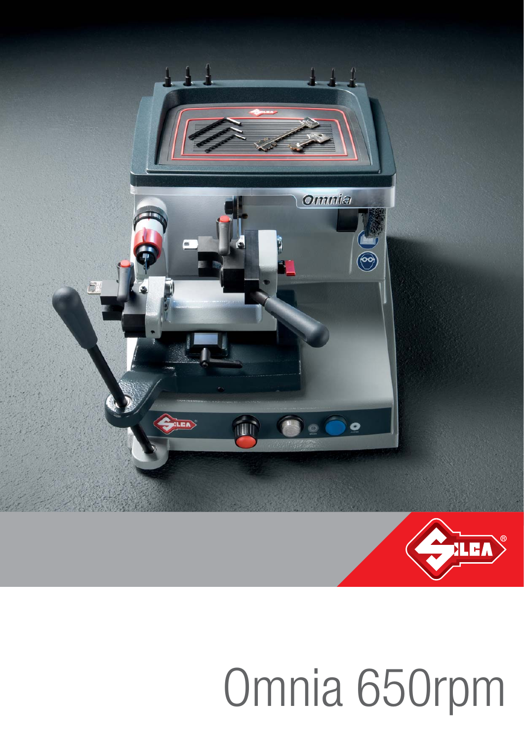

# Omnia 650rpm